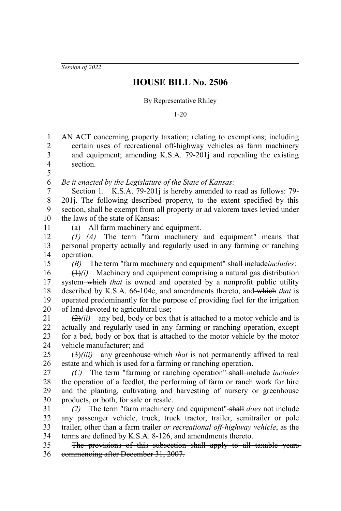*Session of 2022*

## **HOUSE BILL No. 2506**

By Representative Rhiley

1-20

AN ACT concerning property taxation; relating to exemptions; including certain uses of recreational off-highway vehicles as farm machinery and equipment; amending K.S.A. 79-201j and repealing the existing section. *Be it enacted by the Legislature of the State of Kansas:* Section 1. K.S.A. 79-201*j* is hereby amended to read as follows: 79-201j. The following described property, to the extent specified by this section, shall be exempt from all property or ad valorem taxes levied under the laws of the state of Kansas: (a) All farm machinery and equipment. *(1) (A)* The term "farm machinery and equipment" means that personal property actually and regularly used in any farming or ranching operation. *(B)* The term "farm machinery and equipment" shall include*includes*:  $(1)$ *(i)* Machinery and equipment comprising a natural gas distribution system which *that* is owned and operated by a nonprofit public utility described by K.S.A. 66-104c, and amendments thereto, and which *that* is operated predominantly for the purpose of providing fuel for the irrigation of land devoted to agricultural use;  $(2)$ *(ii)* any bed, body or box that is attached to a motor vehicle and is actually and regularly used in any farming or ranching operation, except for a bed, body or box that is attached to the motor vehicle by the motor vehicle manufacturer; and (3)*(iii)* any greenhouse which *that* is not permanently affixed to real estate and which is used for a farming or ranching operation. *(C)* The term "farming or ranching operation" shall include *includes* the operation of a feedlot, the performing of farm or ranch work for hire and the planting, cultivating and harvesting of nursery or greenhouse products, or both, for sale or resale. *(2)* The term "farm machinery and equipment" shall *does* not include any passenger vehicle, truck, truck tractor, trailer, semitrailer or pole trailer, other than a farm trailer *or recreational off-highway vehicle*, as the terms are defined by K.S.A. 8-126, and amendments thereto. The provisions of this subsection shall apply to all taxable years commencing after December 31, 2007. 1 2 3 4 5 6 7 8 9 10 11 12 13 14 15 16 17 18 19 20 21 22 23 24 25 26 27 28 29 30 31 32 33 34 35 36